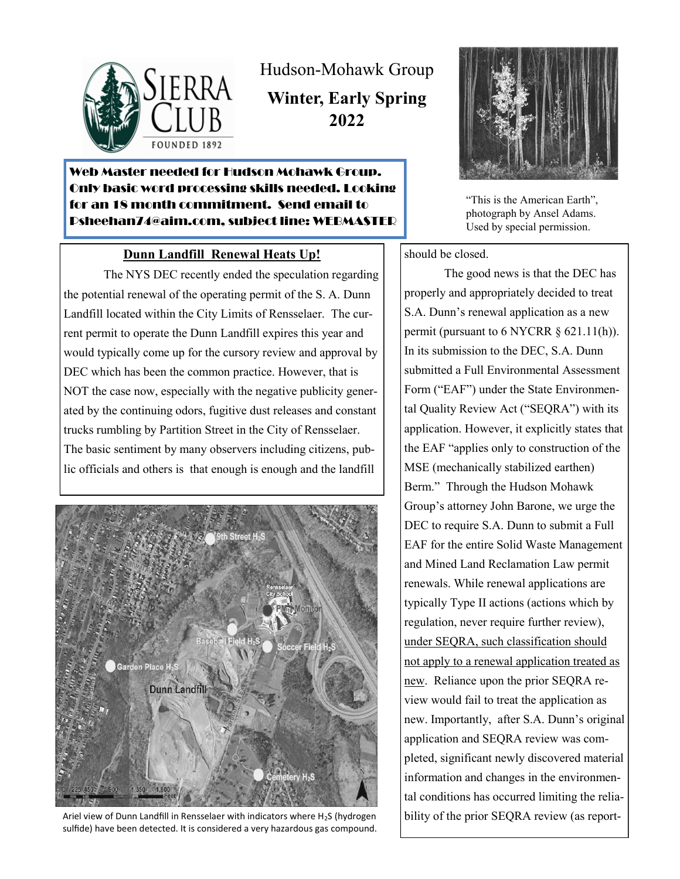

Hudson-Mohawk Group

**Winter, Early Spring 2022**

# Web Master needed for Hudson Mohawk Group. Only basic word processing skills needed. Looking for an 18 month commitment. Send email to Psheehan74@aim.com, subject line: WEBMASTER

### **Dunn Landfill Renewal Heats Up!**

The NYS DEC recently ended the speculation regarding the potential renewal of the operating permit of the S. A. Dunn Landfill located within the City Limits of Rensselaer. The current permit to operate the Dunn Landfill expires this year and would typically come up for the cursory review and approval by DEC which has been the common practice. However, that is NOT the case now, especially with the negative publicity generated by the continuing odors, fugitive dust releases and constant trucks rumbling by Partition Street in the City of Rensselaer. The basic sentiment by many observers including citizens, public officials and others is that enough is enough and the landfill



Ariel view of Dunn Landfill in Rensselaer with indicators where H<sub>2</sub>S (hydrogen sulfide) have been detected. It is considered a very hazardous gas compound.



"This is the American Earth", photograph by Ansel Adams. Used by special permission.

should be closed.

The good news is that the DEC has properly and appropriately decided to treat S.A. Dunn's renewal application as a new permit (pursuant to 6 NYCRR § 621.11(h)). In its submission to the DEC, S.A. Dunn submitted a Full Environmental Assessment Form ("EAF") under the State Environmental Quality Review Act ("SEQRA") with its application. However, it explicitly states that the EAF "applies only to construction of the MSE (mechanically stabilized earthen) Berm." Through the Hudson Mohawk Group's attorney John Barone, we urge the DEC to require S.A. Dunn to submit a Full EAF for the entire Solid Waste Management and Mined Land Reclamation Law permit renewals. While renewal applications are typically Type II actions (actions which by regulation, never require further review), under SEQRA, such classification should not apply to a renewal application treated as new. Reliance upon the prior SEQRA review would fail to treat the application as new. Importantly, after S.A. Dunn's original application and SEQRA review was completed, significant newly discovered material information and changes in the environmental conditions has occurred limiting the reliability of the prior SEQRA review (as report-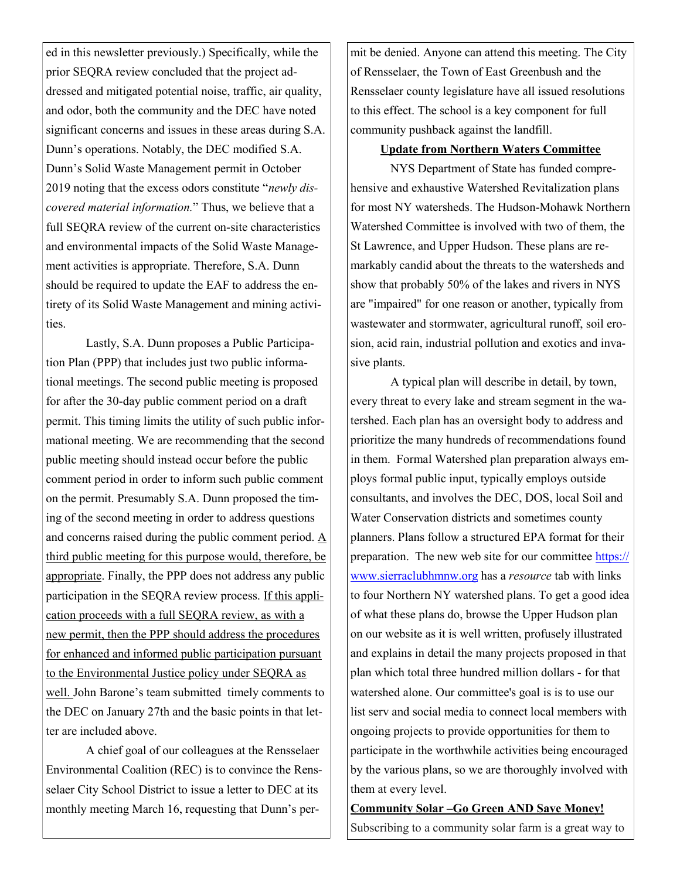ed in this newsletter previously.) Specifically, while the prior SEQRA review concluded that the project addressed and mitigated potential noise, traffic, air quality, and odor, both the community and the DEC have noted significant concerns and issues in these areas during S.A. Dunn's operations. Notably, the DEC modified S.A. Dunn's Solid Waste Management permit in October 2019 noting that the excess odors constitute "*newly discovered material information.*" Thus, we believe that a full SEQRA review of the current on-site characteristics and environmental impacts of the Solid Waste Management activities is appropriate. Therefore, S.A. Dunn should be required to update the EAF to address the entirety of its Solid Waste Management and mining activities.

Lastly, S.A. Dunn proposes a Public Participation Plan (PPP) that includes just two public informational meetings. The second public meeting is proposed for after the 30-day public comment period on a draft permit. This timing limits the utility of such public informational meeting. We are recommending that the second public meeting should instead occur before the public comment period in order to inform such public comment on the permit. Presumably S.A. Dunn proposed the timing of the second meeting in order to address questions and concerns raised during the public comment period. A third public meeting for this purpose would, therefore, be appropriate. Finally, the PPP does not address any public participation in the SEQRA review process. If this application proceeds with a full SEQRA review, as with a new permit, then the PPP should address the procedures for enhanced and informed public participation pursuant to the Environmental Justice policy under SEQRA as well. John Barone's team submitted timely comments to the DEC on January 27th and the basic points in that letter are included above.

A chief goal of our colleagues at the Rensselaer Environmental Coalition (REC) is to convince the Rensselaer City School District to issue a letter to DEC at its monthly meeting March 16, requesting that Dunn's permit be denied. Anyone can attend this meeting. The City of Rensselaer, the Town of East Greenbush and the Rensselaer county legislature have all issued resolutions to this effect. The school is a key component for full community pushback against the landfill.

### **Update from Northern Waters Committee**

NYS Department of State has funded comprehensive and exhaustive Watershed Revitalization plans for most NY watersheds. The Hudson-Mohawk Northern Watershed Committee is involved with two of them, the St Lawrence, and Upper Hudson. These plans are remarkably candid about the threats to the watersheds and show that probably 50% of the lakes and rivers in NYS are "impaired" for one reason or another, typically from wastewater and stormwater, agricultural runoff, soil erosion, acid rain, industrial pollution and exotics and invasive plants.

A typical plan will describe in detail, by town, every threat to every lake and stream segment in the watershed. Each plan has an oversight body to address and prioritize the many hundreds of recommendations found in them. Formal Watershed plan preparation always employs formal public input, typically employs outside consultants, and involves the DEC, DOS, local Soil and Water Conservation districts and sometimes county planners. Plans follow a structured EPA format for their preparation. The new web site for our committee https:// www.sierraclubhmnw.org has a *resource* tab with links to four Northern NY watershed plans. To get a good idea of what these plans do, browse the Upper Hudson plan on our website as it is well written, profusely illustrated and explains in detail the many projects proposed in that plan which total three hundred million dollars - for that watershed alone. Our committee's goal is is to use our list serv and social media to connect local members with ongoing projects to provide opportunities for them to participate in the worthwhile activities being encouraged by the various plans, so we are thoroughly involved with them at every level.

**Community Solar –Go Green AND Save Money!** Subscribing to a community solar farm is a great way to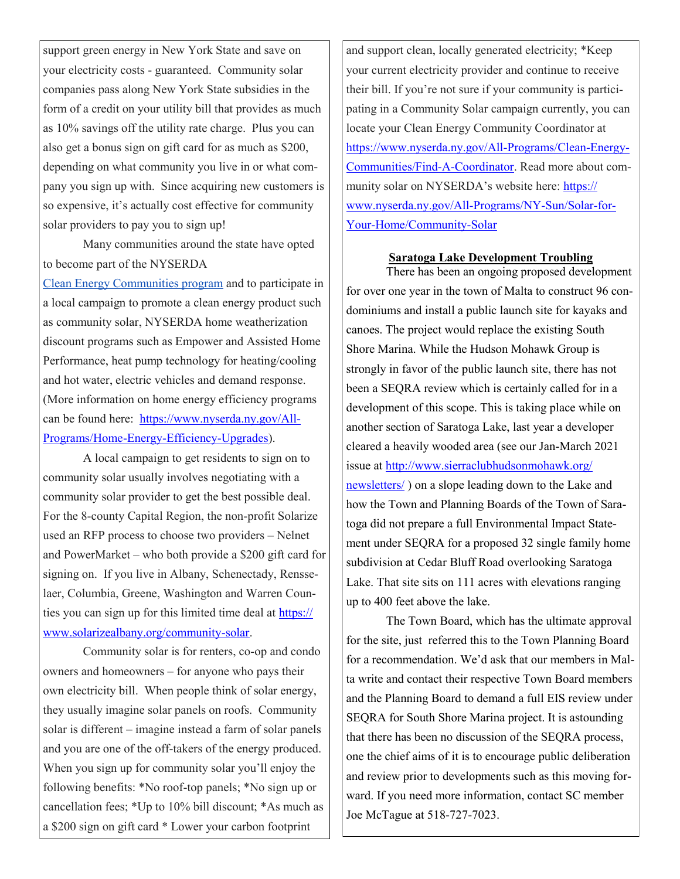support green energy in New York State and save on your electricity costs - guaranteed. Community solar companies pass along New York State subsidies in the form of a credit on your utility bill that provides as much as 10% savings off the utility rate charge. Plus you can also get a bonus sign on gift card for as much as \$200, depending on what community you live in or what company you sign up with. Since acquiring new customers is so expensive, it's actually cost effective for community solar providers to pay you to sign up!

Many communities around the state have opted to become part of the NYSERDA

Clean Energy Communities program and to participate in a local campaign to promote a clean energy product such as community solar, NYSERDA home weatherization discount programs such as Empower and Assisted Home Performance, heat pump technology for heating/cooling and hot water, electric vehicles and demand response. (More information on home energy efficiency programs can be found here: https://www.nyserda.ny.gov/All-Programs/Home-Energy-Efficiency-Upgrades).

A local campaign to get residents to sign on to community solar usually involves negotiating with a community solar provider to get the best possible deal. For the 8-county Capital Region, the non-profit Solarize used an RFP process to choose two providers – Nelnet and PowerMarket – who both provide a \$200 gift card for signing on. If you live in Albany, Schenectady, Rensselaer, Columbia, Greene, Washington and Warren Counties you can sign up for this limited time deal at https:// www.solarizealbany.org/community-solar.

Community solar is for renters, co-op and condo owners and homeowners – for anyone who pays their own electricity bill. When people think of solar energy, they usually imagine solar panels on roofs. Community solar is different – imagine instead a farm of solar panels and you are one of the off-takers of the energy produced. When you sign up for community solar you'll enjoy the following benefits: \*No roof-top panels; \*No sign up or cancellation fees; \*Up to 10% bill discount; \*As much as a \$200 sign on gift card \* Lower your carbon footprint

and support clean, locally generated electricity; \*Keep your current electricity provider and continue to receive their bill. If you're not sure if your community is participating in a Community Solar campaign currently, you can locate your Clean Energy Community Coordinator at https://www.nyserda.ny.gov/All-Programs/Clean-Energy-Communities/Find-A-Coordinator. Read more about community solar on NYSERDA's website here: https:// www.nyserda.ny.gov/All-Programs/NY-Sun/Solar-for-Your-Home/Community-Solar

#### **Saratoga Lake Development Troubling**

There has been an ongoing proposed development for over one year in the town of Malta to construct 96 condominiums and install a public launch site for kayaks and canoes. The project would replace the existing South Shore Marina. While the Hudson Mohawk Group is strongly in favor of the public launch site, there has not been a SEQRA review which is certainly called for in a development of this scope. This is taking place while on another section of Saratoga Lake, last year a developer cleared a heavily wooded area (see our Jan-March 2021 issue at http://www.sierraclubhudsonmohawk.org/ newsletters/ ) on a slope leading down to the Lake and how the Town and Planning Boards of the Town of Saratoga did not prepare a full Environmental Impact Statement under SEQRA for a proposed 32 single family home subdivision at Cedar Bluff Road overlooking Saratoga Lake. That site sits on 111 acres with elevations ranging up to 400 feet above the lake.

The Town Board, which has the ultimate approval for the site, just referred this to the Town Planning Board for a recommendation. We'd ask that our members in Malta write and contact their respective Town Board members and the Planning Board to demand a full EIS review under SEQRA for South Shore Marina project. It is astounding that there has been no discussion of the SEQRA process, one the chief aims of it is to encourage public deliberation and review prior to developments such as this moving forward. If you need more information, contact SC member Joe McTague at 518-727-7023.